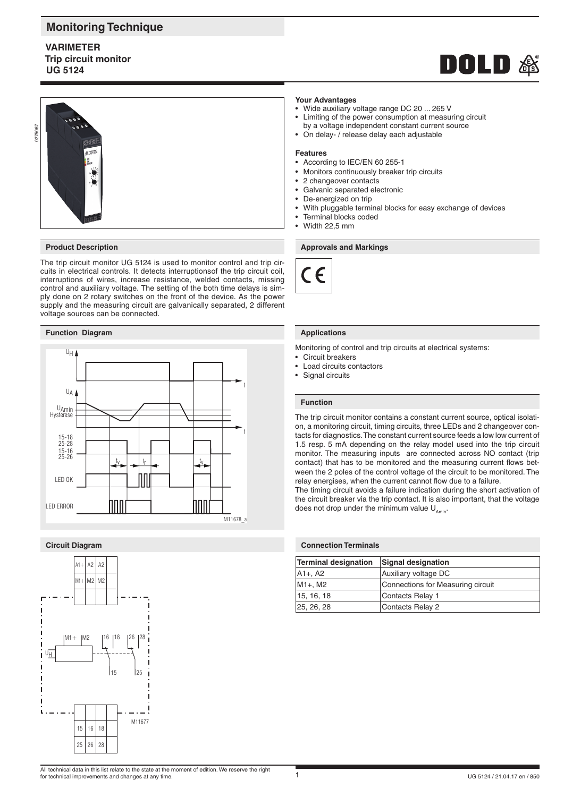# **Monitoring Technique**

# **VARIMETER Trip circuit monitor UG 5124**





# **Product Description**

The trip circuit monitor UG 5124 is used to monitor control and trip circuits in electrical controls. It detects interruptionsof the trip circuit coil, interruptions of wires, increase resistance, welded contacts, missing control and auxiliary voltage. The setting of the both time delays is simply done on 2 rotary switches on the front of the device. As the power supply and the measuring circuit are galvanically separated, 2 different voltage sources can be connected.

# **Function Diagram**



# **Circuit Diagram**



#### **Your Advantages**

- Wide auxiliary voltage range DC 20 ... 265 V
- Limiting of the power consumption at measuring circuit by a voltage independent constant current source
- On delay- / release delay each adjustable

#### **Features**

- According to IEC/EN 60 255-1
- Monitors continuously breaker trip circuits
- 2 changeover contacts
- Galvanic separated electronic
- De-energized on trip
- With pluggable terminal blocks for easy exchange of devices
- Terminal blocks coded
- Width 22,5 mm

# **Approvals and Markings**



# **Applications**

Monitoring of control and trip circuits at electrical systems:

- Circuit breakers
- Load circuits contactors
- Signal circuits

#### **Function**

The trip circuit monitor contains a constant current source, optical isolation, a monitoring circuit, timing circuits, three LEDs and 2 changeover contacts for diagnostics. The constant current source feeds a low low current of 1.5 resp. 5 mA depending on the relay model used into the trip circuit monitor. The measuring inputs are connected across NO contact (trip contact) that has to be monitored and the measuring current flows between the 2 poles of the control voltage of the circuit to be monitored. The relay energises, when the current cannot flow due to a failure.

The timing circuit avoids a failure indication during the short activation of the circuit breaker via the trip contact. It is also important, that the voltage does not drop under the minimum value  $U_{\text{amin}}$ .

| <b>Connection Terminals</b>      |                                   |  |
|----------------------------------|-----------------------------------|--|
| Terminal designation             | <b>Signal designation</b>         |  |
| A1+, A2                          | Auxiliary voltage DC              |  |
| M <sub>1+</sub> , M <sub>2</sub> | Connections for Measuring circuit |  |
| 15, 16, 18                       | Contacts Relay 1                  |  |
| 25, 26, 28                       | Contacts Relay 2                  |  |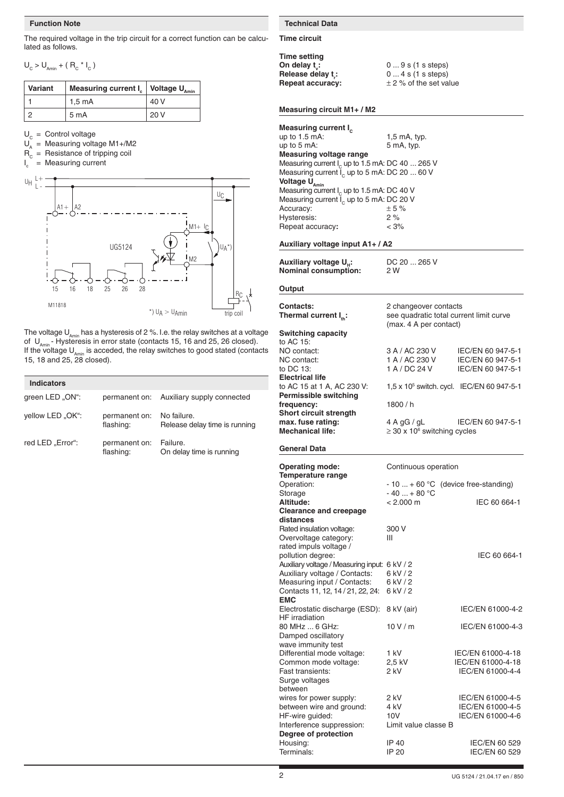# **Function Note**

The required voltage in the trip circuit for a correct function can be calculated as follows.

 $U_{C}$  >  $U_{Amin}$  + ( $R_{C}$  \*  $I_{C}$ )

| Variant | Measuring current $I_c$   Voltage $U_{Amin}$ |      |
|---------|----------------------------------------------|------|
|         | $1.5 \text{ mA}$                             | 40 V |
|         | 5 mA                                         | 20V  |

 $U_c =$  Control voltage

- $U_A$  = Measuring voltage M1+/M2
- $R_c$  = Resistance of tripping coil
- $I_c$  $=$  Measuring current



The voltage  $\mathsf{U}_{_{\mathsf{Amin}}}$  has a hysteresis of 2 %. I.e. the relay switches at a voltage of  $\ U_{\text{Amin}}$  - Hysteresis in error state (contacts 15, 16 and 25, 26 closed). If the voltage U<sub>Amin</sub> is acceded, the relay switches to good stated (contacts 15, 18 and 25, 28 closed).

| <b>Indicators</b> |                            |                                              |
|-------------------|----------------------------|----------------------------------------------|
| green LED "ON":   |                            | permanent on: Auxiliary supply connected     |
| yellow LED "OK":  | permanent on:<br>flashing: | No failure.<br>Release delay time is running |
| red LED "Error":  | permanent on:<br>flashing: | Failure.<br>On delay time is running         |

# **Technical Data**

**Time circuit**

**Time setting On delay t<sub>v</sub>: Release delay t:**<br>**Repeat accuracy:** 

**:** 0 ... 9 s (1 s steps) **:** 0 ... 4 s (1 s steps)  $\pm$  2 % of the set value

**Auxiliary voltage UH:** DC 20 ... 265 V

**Nominal consumption:** 2 W

# **Measuring circuit M1+ / M2**

| Measuring current I <sub>c</sub>                           |                |
|------------------------------------------------------------|----------------|
| up to $1.5$ mA:                                            | $1,5$ mA, typ. |
| up to 5 mA:                                                | 5 mA, typ.     |
| <b>Measuring voltage range</b>                             |                |
| Measuring current $I_c$ up to 1.5 mA: DC 40 $\ldots$ 265 V |                |
| Measuring current $I_c$ up to 5 mA: DC 20  60 V            |                |
| Voltage U <sub>Amin</sub>                                  |                |
| Measuring current $I_c$ up to 1.5 mA: DC 40 V              |                |
| Measuring current $I_c$ up to 5 mA: DC 20 V                |                |
| Accuracy:                                                  | ± 5%           |
| Hysteresis:                                                | 2%             |
| Repeat accuracy:                                           | $< 3\%$        |

**Auxiliary voltage input A1+ / A2**

| Auxiliary voltage U <sub>H</sub> : |  |
|------------------------------------|--|
| <b>Nominal consumption:</b>        |  |

**Output**

| <b>Contacts:</b><br>Thermal current I <sub>th</sub> :<br><b>Switching capacity</b> | 2 changeover contacts<br>see quadratic total current limit curve<br>(max. 4 A per contact) |                                                             |
|------------------------------------------------------------------------------------|--------------------------------------------------------------------------------------------|-------------------------------------------------------------|
| to AC 15:<br>NO contact:<br>NC contact:<br>to DC 13:<br><b>Electrical life</b>     | 3 A / AC 230 V<br>1 A / AC 230 V<br>1 A / DC 24 V                                          | IEC/EN 60 947-5-1<br>IEC/EN 60 947-5-1<br>IEC/EN 60 947-5-1 |
| to AC 15 at 1 A, AC 230 V:<br><b>Permissible switching</b>                         | 1,5 x 10 <sup>5</sup> switch. cycl. IEC/EN 60 947-5-1                                      |                                                             |
| frequency:<br><b>Short circuit strength</b>                                        | 1800/h                                                                                     |                                                             |
| max. fuse rating:<br><b>Mechanical life:</b>                                       | $4$ A gG / gL<br>$\geq$ 30 x 10 <sup>6</sup> switching cycles                              | IEC/EN 60 947-5-1                                           |
| General Data                                                                       |                                                                                            |                                                             |
| <b>Operating mode:</b><br>Temperature range                                        | Continuous operation                                                                       |                                                             |
| Operation:                                                                         | $-10+60$ °C (device free-standing)                                                         |                                                             |
| Storage<br>Altitude:                                                               | $-40+80 °C$<br>$< 2.000 \text{ m}$                                                         | IEC 60 664-1                                                |
| <b>Clearance and creepage</b><br>distances                                         |                                                                                            |                                                             |
| Rated insulation voltage:                                                          | 300 V                                                                                      |                                                             |
| Overvoltage category:<br>rated impuls voltage /                                    | Ш                                                                                          |                                                             |
| pollution degree:                                                                  |                                                                                            | IEC 60 664-1                                                |
| Auxiliary voltage / Measuring input: 6 kV / 2                                      |                                                                                            |                                                             |
| Auxiliary voltage / Contacts:                                                      | 6 kV / 2                                                                                   |                                                             |
| Measuring input / Contacts:                                                        | 6 kV / 2                                                                                   |                                                             |
| Contacts 11, 12, 14 / 21, 22, 24:<br><b>EMC</b>                                    | 6 kV / 2                                                                                   |                                                             |
| Electrostatic discharge (ESD):<br><b>HF</b> irradiation                            | 8 kV (air)                                                                                 | IEC/EN 61000-4-2                                            |
| 80 MHz  6 GHz:<br>Damped oscillatory<br>wave immunity test                         | 10V/m                                                                                      | IEC/EN 61000-4-3                                            |
| Differential mode voltage:                                                         | 1 kV                                                                                       | IEC/EN 61000-4-18                                           |
| Common mode voltage:                                                               | 2,5 kV                                                                                     | IEC/EN 61000-4-18                                           |
| Fast transients:                                                                   | 2 kV                                                                                       | IEC/EN 61000-4-4                                            |
| Surge voltages<br>between                                                          |                                                                                            |                                                             |
| wires for power supply:                                                            | 2 kV                                                                                       | IEC/EN 61000-4-5                                            |
| between wire and ground:                                                           | 4 kV                                                                                       | IEC/EN 61000-4-5                                            |
| HF-wire guided:                                                                    | 10V                                                                                        | IEC/EN 61000-4-6                                            |
| Interference suppression:<br>Degree of protection                                  | Limit value classe B                                                                       |                                                             |
| Housing:                                                                           | IP 40                                                                                      | IEC/EN 60 529                                               |
| Terminals:                                                                         | IP 20                                                                                      | IEC/EN 60 529                                               |
|                                                                                    |                                                                                            |                                                             |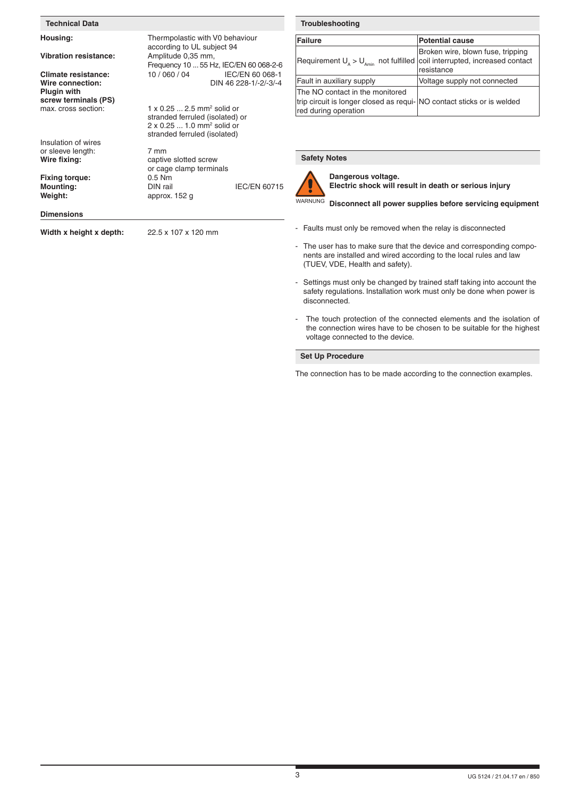| <b>Technical Data</b>                                                                 |                                                                                                                                                           |                                          | Т               |
|---------------------------------------------------------------------------------------|-----------------------------------------------------------------------------------------------------------------------------------------------------------|------------------------------------------|-----------------|
| Housing:                                                                              | Thermpolastic with V0 behaviour<br>according to UL subject 94                                                                                             |                                          | Fε              |
| <b>Vibration resistance:</b>                                                          | Amplitude 0,35 mm,<br>Frequency 10  55 Hz, IEC/EN 60 068-2-6                                                                                              |                                          | $R_6$           |
| Climate resistance:<br>Wire connection:<br><b>Plugin with</b><br>screw terminals (PS) | 10 / 060 / 04                                                                                                                                             | IEC/EN 60 068-1<br>DIN 46 228-1/-2/-3/-4 | Fa<br>Th<br>tri |
| max. cross section:                                                                   | $1 \times 0.25$ 2.5 mm <sup>2</sup> solid or<br>stranded ferruled (isolated) or<br>2 x 0.25  1.0 mm <sup>2</sup> solid or<br>stranded ferruled (isolated) |                                          | re              |
| Insulation of wires<br>or sleeve length:<br>Wire fixing:                              | 7 mm<br>captive slotted screw<br>or cage clamp terminals                                                                                                  |                                          | S               |
| <b>Fixing torque:</b><br><b>Mounting:</b><br>Weight:                                  | $0.5$ Nm<br>DIN rail<br>approx. 152 g                                                                                                                     | <b>IEC/EN 60715</b>                      | <b>WA</b>       |
| <b>Dimensions</b>                                                                     |                                                                                                                                                           |                                          |                 |
| Width x height x depth:                                                               | 22.5 x 107 x 120 mm                                                                                                                                       |                                          |                 |

# **Troubleshooting**

| <b>Failure</b>                                                                                                                    | <b>Potential cause</b>                          |
|-----------------------------------------------------------------------------------------------------------------------------------|-------------------------------------------------|
| Requirement $U_A > U_{A_{min}}$ not fulfilled coil interrupted, increased contact                                                 | Broken wire, blown fuse, tripping<br>resistance |
| Fault in auxiliary supply                                                                                                         | Voltage supply not connected                    |
| The NO contact in the monitored<br>trip circuit is longer closed as requi- NO contact sticks or is welded<br>red during operation |                                                 |

# **Safety Notes**



**Dangerous voltage. Electric shock will result in death or serious injury** 

### WARNUNG **Disconnect all power supplies before servicing equipment**

- Faults must only be removed when the relay is disconnected
- The user has to make sure that the device and corresponding components are installed and wired according to the local rules and law (TUEV, VDE, Health and safety).
- Settings must only be changed by trained staff taking into account the safety regulations. Installation work must only be done when power is disconnected.
- The touch protection of the connected elements and the isolation of the connection wires have to be chosen to be suitable for the highest voltage connected to the device.

# **Set Up Procedure**

The connection has to be made according to the connection examples.